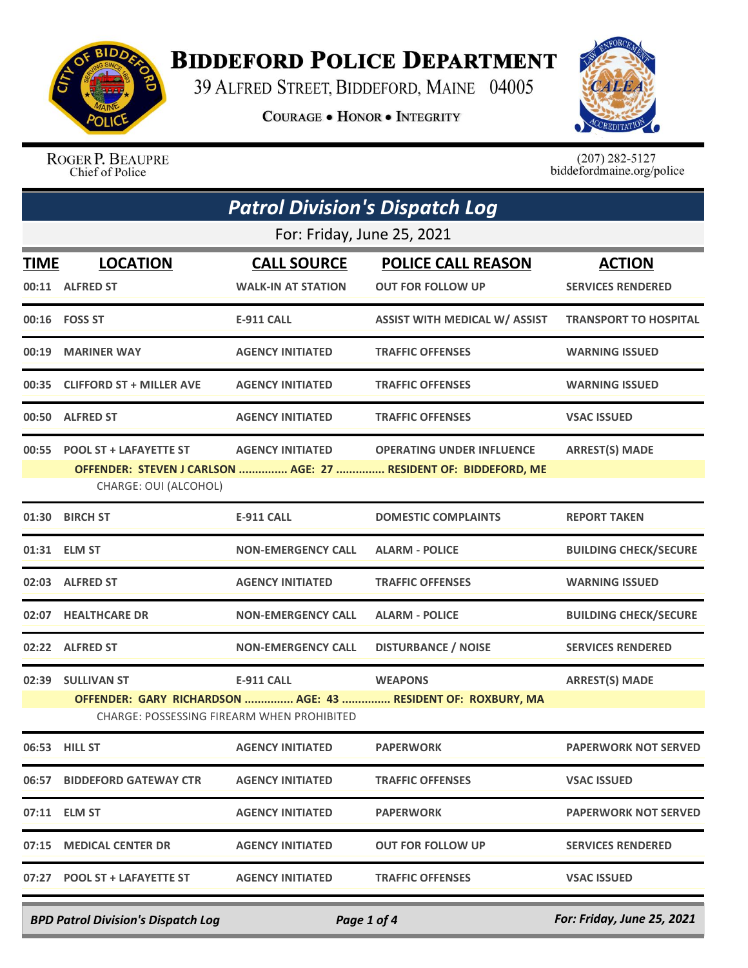

## **BIDDEFORD POLICE DEPARTMENT**

39 ALFRED STREET, BIDDEFORD, MAINE 04005

**COURAGE . HONOR . INTEGRITY** 



ROGER P. BEAUPRE Chief of Police

 $(207)$  282-5127<br>biddefordmaine.org/police

| <b>Patrol Division's Dispatch Log</b> |                                                       |                                                                        |                                                                                                     |                                           |  |
|---------------------------------------|-------------------------------------------------------|------------------------------------------------------------------------|-----------------------------------------------------------------------------------------------------|-------------------------------------------|--|
|                                       | For: Friday, June 25, 2021                            |                                                                        |                                                                                                     |                                           |  |
| TIME                                  | <b>LOCATION</b><br>00:11 ALFRED ST                    | <b>CALL SOURCE</b><br><b>WALK-IN AT STATION</b>                        | <b>POLICE CALL REASON</b><br><b>OUT FOR FOLLOW UP</b>                                               | <b>ACTION</b><br><b>SERVICES RENDERED</b> |  |
|                                       | 00:16    FOSS ST                                      | <b>E-911 CALL</b>                                                      | <b>ASSIST WITH MEDICAL W/ ASSIST</b>                                                                | <b>TRANSPORT TO HOSPITAL</b>              |  |
|                                       | 00:19 MARINER WAY                                     | <b>AGENCY INITIATED</b>                                                | <b>TRAFFIC OFFENSES</b>                                                                             | <b>WARNING ISSUED</b>                     |  |
|                                       | 00:35 CLIFFORD ST + MILLER AVE                        | <b>AGENCY INITIATED</b>                                                | <b>TRAFFIC OFFENSES</b>                                                                             | <b>WARNING ISSUED</b>                     |  |
|                                       | 00:50 ALFRED ST                                       | <b>AGENCY INITIATED</b>                                                | <b>TRAFFIC OFFENSES</b>                                                                             | <b>VSAC ISSUED</b>                        |  |
|                                       | 00:55 POOL ST + LAFAYETTE ST<br>CHARGE: OUI (ALCOHOL) | <b>AGENCY INITIATED</b>                                                | <b>OPERATING UNDER INFLUENCE</b><br>OFFENDER: STEVEN J CARLSON  AGE: 27  RESIDENT OF: BIDDEFORD, ME | <b>ARREST(S) MADE</b>                     |  |
|                                       | 01:30 BIRCH ST                                        | <b>E-911 CALL</b>                                                      | <b>DOMESTIC COMPLAINTS</b>                                                                          | <b>REPORT TAKEN</b>                       |  |
|                                       | 01:31 ELM ST                                          | <b>NON-EMERGENCY CALL</b>                                              | <b>ALARM - POLICE</b>                                                                               | <b>BUILDING CHECK/SECURE</b>              |  |
|                                       | 02:03 ALFRED ST                                       | <b>AGENCY INITIATED</b>                                                | <b>TRAFFIC OFFENSES</b>                                                                             | <b>WARNING ISSUED</b>                     |  |
|                                       | 02:07 HEALTHCARE DR                                   | <b>NON-EMERGENCY CALL</b>                                              | <b>ALARM - POLICE</b>                                                                               | <b>BUILDING CHECK/SECURE</b>              |  |
|                                       | 02:22 ALFRED ST                                       | <b>NON-EMERGENCY CALL</b>                                              | <b>DISTURBANCE / NOISE</b>                                                                          | <b>SERVICES RENDERED</b>                  |  |
|                                       | 02:39 SULLIVAN ST                                     | <b>E-911 CALL</b><br><b>CHARGE: POSSESSING FIREARM WHEN PROHIBITED</b> | <b>WEAPONS</b><br>OFFENDER: GARY RICHARDSON  AGE: 43  RESIDENT OF: ROXBURY, MA                      | <b>ARREST(S) MADE</b>                     |  |
|                                       | 06:53 HILL ST                                         | <b>AGENCY INITIATED</b>                                                | <b>PAPERWORK</b>                                                                                    | <b>PAPERWORK NOT SERVED</b>               |  |
|                                       | 06:57 BIDDEFORD GATEWAY CTR                           | <b>AGENCY INITIATED</b>                                                | <b>TRAFFIC OFFENSES</b>                                                                             | <b>VSAC ISSUED</b>                        |  |
|                                       | 07:11 ELM ST                                          | <b>AGENCY INITIATED</b>                                                | <b>PAPERWORK</b>                                                                                    | <b>PAPERWORK NOT SERVED</b>               |  |
| 07:15                                 | <b>MEDICAL CENTER DR</b>                              | <b>AGENCY INITIATED</b>                                                | <b>OUT FOR FOLLOW UP</b>                                                                            | <b>SERVICES RENDERED</b>                  |  |
|                                       | 07:27 POOL ST + LAFAYETTE ST                          | <b>AGENCY INITIATED</b>                                                | <b>TRAFFIC OFFENSES</b>                                                                             | <b>VSAC ISSUED</b>                        |  |

*BPD Patrol Division's Dispatch Log Page 1 of 4 For: Friday, June 25, 2021*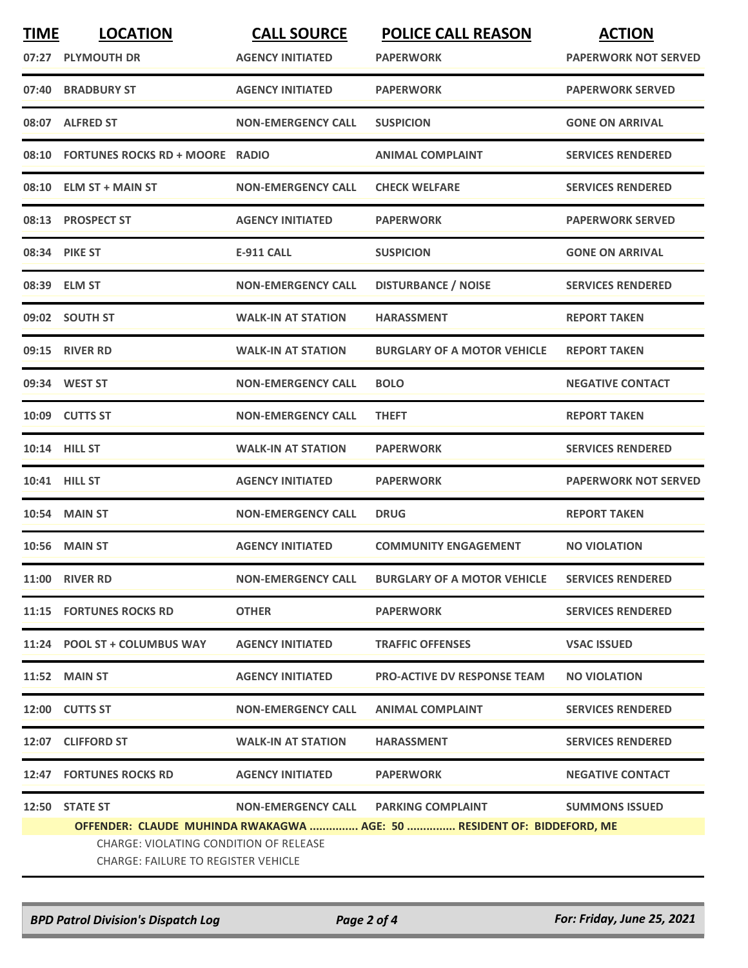| <b>TIME</b> | <b>LOCATION</b>                                                                      | <b>CALL SOURCE</b>        | <b>POLICE CALL REASON</b>                                              | <b>ACTION</b>               |
|-------------|--------------------------------------------------------------------------------------|---------------------------|------------------------------------------------------------------------|-----------------------------|
|             | 07:27 PLYMOUTH DR                                                                    | <b>AGENCY INITIATED</b>   | PAPERWORK                                                              | <b>PAPERWORK NOT SERVED</b> |
|             | 07:40 BRADBURY ST                                                                    | <b>AGENCY INITIATED</b>   | <b>PAPERWORK</b>                                                       | <b>PAPERWORK SERVED</b>     |
|             | 08:07 ALFRED ST                                                                      | <b>NON-EMERGENCY CALL</b> | <b>SUSPICION</b>                                                       | <b>GONE ON ARRIVAL</b>      |
| 08:10       | <b>FORTUNES ROCKS RD + MOORE RADIO</b>                                               |                           | <b>ANIMAL COMPLAINT</b>                                                | <b>SERVICES RENDERED</b>    |
|             | 08:10 ELM ST + MAIN ST                                                               | <b>NON-EMERGENCY CALL</b> | <b>CHECK WELFARE</b>                                                   | <b>SERVICES RENDERED</b>    |
|             | 08:13 PROSPECT ST                                                                    | <b>AGENCY INITIATED</b>   | <b>PAPERWORK</b>                                                       | <b>PAPERWORK SERVED</b>     |
|             | 08:34 PIKE ST                                                                        | <b>E-911 CALL</b>         | <b>SUSPICION</b>                                                       | <b>GONE ON ARRIVAL</b>      |
|             | 08:39 ELM ST                                                                         | <b>NON-EMERGENCY CALL</b> | <b>DISTURBANCE / NOISE</b>                                             | <b>SERVICES RENDERED</b>    |
|             | 09:02 SOUTH ST                                                                       | <b>WALK-IN AT STATION</b> | <b>HARASSMENT</b>                                                      | <b>REPORT TAKEN</b>         |
|             | 09:15 RIVER RD                                                                       | <b>WALK-IN AT STATION</b> | <b>BURGLARY OF A MOTOR VEHICLE</b>                                     | <b>REPORT TAKEN</b>         |
|             | 09:34 WEST ST                                                                        | <b>NON-EMERGENCY CALL</b> | <b>BOLO</b>                                                            | <b>NEGATIVE CONTACT</b>     |
|             | 10:09 CUTTS ST                                                                       | <b>NON-EMERGENCY CALL</b> | <b>THEFT</b>                                                           | <b>REPORT TAKEN</b>         |
|             | 10:14 HILL ST                                                                        | <b>WALK-IN AT STATION</b> | <b>PAPERWORK</b>                                                       | <b>SERVICES RENDERED</b>    |
|             | 10:41 HILL ST                                                                        | <b>AGENCY INITIATED</b>   | <b>PAPERWORK</b>                                                       | <b>PAPERWORK NOT SERVED</b> |
|             | 10:54 MAIN ST                                                                        | <b>NON-EMERGENCY CALL</b> | <b>DRUG</b>                                                            | <b>REPORT TAKEN</b>         |
|             | 10:56 MAIN ST                                                                        | <b>AGENCY INITIATED</b>   | <b>COMMUNITY ENGAGEMENT</b>                                            | <b>NO VIOLATION</b>         |
|             | <b>11:00 RIVER RD</b>                                                                | <b>NON-EMERGENCY CALL</b> | <b>BURGLARY OF A MOTOR VEHICLE</b>                                     | <b>SERVICES RENDERED</b>    |
|             | 11:15 FORTUNES ROCKS RD                                                              | <b>OTHER</b>              | <b>PAPERWORK</b>                                                       | <b>SERVICES RENDERED</b>    |
|             | 11:24 POOL ST + COLUMBUS WAY                                                         | <b>AGENCY INITIATED</b>   | <b>TRAFFIC OFFENSES</b>                                                | <b>VSAC ISSUED</b>          |
|             | <b>11:52 MAIN ST</b>                                                                 | <b>AGENCY INITIATED</b>   | <b>PRO-ACTIVE DV RESPONSE TEAM</b>                                     | <b>NO VIOLATION</b>         |
|             | 12:00 CUTTS ST                                                                       | <b>NON-EMERGENCY CALL</b> | <b>ANIMAL COMPLAINT</b>                                                | <b>SERVICES RENDERED</b>    |
|             | 12:07 CLIFFORD ST                                                                    | <b>WALK-IN AT STATION</b> | <b>HARASSMENT</b>                                                      | <b>SERVICES RENDERED</b>    |
|             | <b>12:47 FORTUNES ROCKS RD</b>                                                       | <b>AGENCY INITIATED</b>   | <b>PAPERWORK</b>                                                       | <b>NEGATIVE CONTACT</b>     |
|             | 12:50 STATE ST                                                                       | <b>NON-EMERGENCY CALL</b> | <b>PARKING COMPLAINT</b>                                               | <b>SUMMONS ISSUED</b>       |
|             |                                                                                      |                           | OFFENDER: CLAUDE MUHINDA RWAKAGWA  AGE: 50  RESIDENT OF: BIDDEFORD, ME |                             |
|             | CHARGE: VIOLATING CONDITION OF RELEASE<br><b>CHARGE: FAILURE TO REGISTER VEHICLE</b> |                           |                                                                        |                             |
|             |                                                                                      |                           |                                                                        |                             |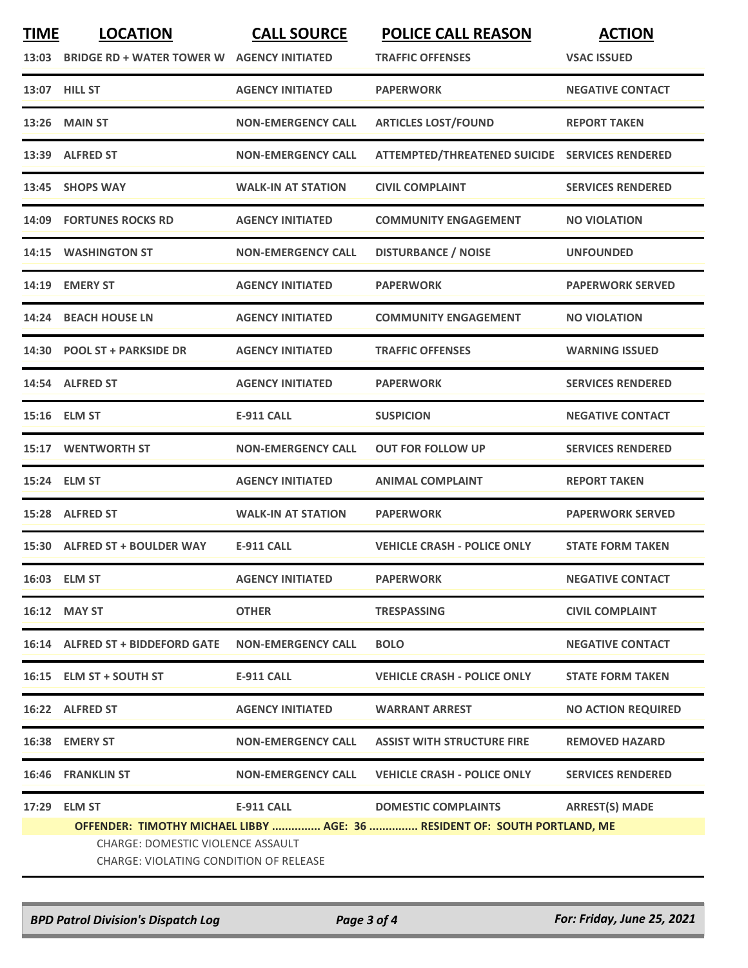| <b>TIME</b> | <b>LOCATION</b>                                                                                                                                                 | <b>CALL SOURCE</b>        | <b>POLICE CALL REASON</b>                      | <b>ACTION</b>             |  |
|-------------|-----------------------------------------------------------------------------------------------------------------------------------------------------------------|---------------------------|------------------------------------------------|---------------------------|--|
| 13:03       | <b>BRIDGE RD + WATER TOWER W</b>                                                                                                                                | <b>AGENCY INITIATED</b>   | <b>TRAFFIC OFFENSES</b>                        | <b>VSAC ISSUED</b>        |  |
|             | 13:07 HILL ST                                                                                                                                                   | <b>AGENCY INITIATED</b>   | <b>PAPERWORK</b>                               | <b>NEGATIVE CONTACT</b>   |  |
| 13:26       | <b>MAIN ST</b>                                                                                                                                                  | <b>NON-EMERGENCY CALL</b> | <b>ARTICLES LOST/FOUND</b>                     | <b>REPORT TAKEN</b>       |  |
| 13:39       | <b>ALFRED ST</b>                                                                                                                                                | <b>NON-EMERGENCY CALL</b> | ATTEMPTED/THREATENED SUICIDE SERVICES RENDERED |                           |  |
|             | 13:45 SHOPS WAY                                                                                                                                                 | <b>WALK-IN AT STATION</b> | <b>CIVIL COMPLAINT</b>                         | <b>SERVICES RENDERED</b>  |  |
| 14:09       | <b>FORTUNES ROCKS RD</b>                                                                                                                                        | <b>AGENCY INITIATED</b>   | <b>COMMUNITY ENGAGEMENT</b>                    | <b>NO VIOLATION</b>       |  |
| 14:15       | <b>WASHINGTON ST</b>                                                                                                                                            | <b>NON-EMERGENCY CALL</b> | <b>DISTURBANCE / NOISE</b>                     | <b>UNFOUNDED</b>          |  |
| 14:19       | <b>EMERY ST</b>                                                                                                                                                 | <b>AGENCY INITIATED</b>   | <b>PAPERWORK</b>                               | <b>PAPERWORK SERVED</b>   |  |
| 14:24       | <b>BEACH HOUSE LN</b>                                                                                                                                           | <b>AGENCY INITIATED</b>   | <b>COMMUNITY ENGAGEMENT</b>                    | <b>NO VIOLATION</b>       |  |
| 14:30       | <b>POOL ST + PARKSIDE DR</b>                                                                                                                                    | <b>AGENCY INITIATED</b>   | <b>TRAFFIC OFFENSES</b>                        | <b>WARNING ISSUED</b>     |  |
| 14:54       | <b>ALFRED ST</b>                                                                                                                                                | <b>AGENCY INITIATED</b>   | <b>PAPERWORK</b>                               | <b>SERVICES RENDERED</b>  |  |
| 15:16       | <b>ELM ST</b>                                                                                                                                                   | <b>E-911 CALL</b>         | <b>SUSPICION</b>                               | <b>NEGATIVE CONTACT</b>   |  |
| 15:17       | <b>WENTWORTH ST</b>                                                                                                                                             | <b>NON-EMERGENCY CALL</b> | <b>OUT FOR FOLLOW UP</b>                       | <b>SERVICES RENDERED</b>  |  |
|             | 15:24 ELM ST                                                                                                                                                    | <b>AGENCY INITIATED</b>   | <b>ANIMAL COMPLAINT</b>                        | <b>REPORT TAKEN</b>       |  |
| 15:28       | <b>ALFRED ST</b>                                                                                                                                                | <b>WALK-IN AT STATION</b> | <b>PAPERWORK</b>                               | <b>PAPERWORK SERVED</b>   |  |
| 15:30       | <b>ALFRED ST + BOULDER WAY</b>                                                                                                                                  | <b>E-911 CALL</b>         | <b>VEHICLE CRASH - POLICE ONLY</b>             | <b>STATE FORM TAKEN</b>   |  |
|             | 16:03 ELM ST                                                                                                                                                    | <b>AGENCY INITIATED</b>   | <b>PAPERWORK</b>                               | <b>NEGATIVE CONTACT</b>   |  |
|             | 16:12 MAY ST                                                                                                                                                    | <b>OTHER</b>              | <b>TRESPASSING</b>                             | <b>CIVIL COMPLAINT</b>    |  |
|             | 16:14 ALFRED ST + BIDDEFORD GATE                                                                                                                                | <b>NON-EMERGENCY CALL</b> | <b>BOLO</b>                                    | <b>NEGATIVE CONTACT</b>   |  |
|             | 16:15 ELM ST + SOUTH ST                                                                                                                                         | E-911 CALL                | <b>VEHICLE CRASH - POLICE ONLY</b>             | <b>STATE FORM TAKEN</b>   |  |
|             | 16:22 ALFRED ST                                                                                                                                                 | <b>AGENCY INITIATED</b>   | <b>WARRANT ARREST</b>                          | <b>NO ACTION REQUIRED</b> |  |
|             | 16:38 EMERY ST                                                                                                                                                  | <b>NON-EMERGENCY CALL</b> | <b>ASSIST WITH STRUCTURE FIRE</b>              | <b>REMOVED HAZARD</b>     |  |
|             | 16:46 FRANKLIN ST                                                                                                                                               | <b>NON-EMERGENCY CALL</b> | <b>VEHICLE CRASH - POLICE ONLY</b>             | <b>SERVICES RENDERED</b>  |  |
| 17:29       | <b>ELM ST</b>                                                                                                                                                   | <b>E-911 CALL</b>         | <b>DOMESTIC COMPLAINTS</b>                     | <b>ARREST(S) MADE</b>     |  |
|             | OFFENDER: TIMOTHY MICHAEL LIBBY  AGE: 36  RESIDENT OF: SOUTH PORTLAND, ME<br>CHARGE: DOMESTIC VIOLENCE ASSAULT<br><b>CHARGE: VIOLATING CONDITION OF RELEASE</b> |                           |                                                |                           |  |